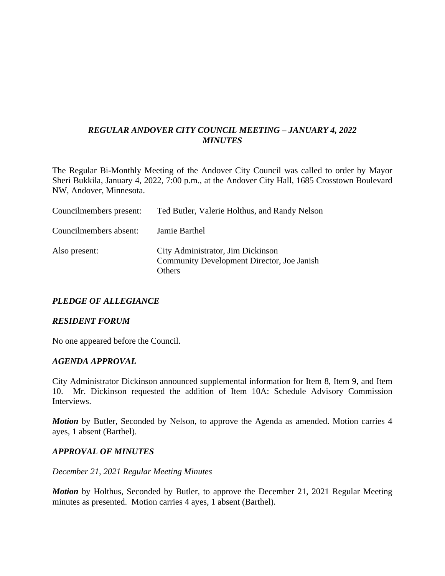# *REGULAR ANDOVER CITY COUNCIL MEETING – JANUARY 4, 2022 MINUTES*

The Regular Bi-Monthly Meeting of the Andover City Council was called to order by Mayor Sheri Bukkila, January 4, 2022, 7:00 p.m., at the Andover City Hall, 1685 Crosstown Boulevard NW, Andover, Minnesota.

| Councilmembers present: | Ted Butler, Valerie Holthus, and Randy Nelson                                             |
|-------------------------|-------------------------------------------------------------------------------------------|
| Councilmembers absent:  | Jamie Barthel                                                                             |
| Also present:           | City Administrator, Jim Dickinson<br>Community Development Director, Joe Janish<br>Others |

## *PLEDGE OF ALLEGIANCE*

### *RESIDENT FORUM*

No one appeared before the Council.

#### *AGENDA APPROVAL*

City Administrator Dickinson announced supplemental information for Item 8, Item 9, and Item 10. Mr. Dickinson requested the addition of Item 10A: Schedule Advisory Commission Interviews.

*Motion* by Butler, Seconded by Nelson, to approve the Agenda as amended. Motion carries 4 ayes, 1 absent (Barthel).

### *APPROVAL OF MINUTES*

#### *December 21, 2021 Regular Meeting Minutes*

*Motion* by Holthus, Seconded by Butler, to approve the December 21, 2021 Regular Meeting minutes as presented. Motion carries 4 ayes, 1 absent (Barthel).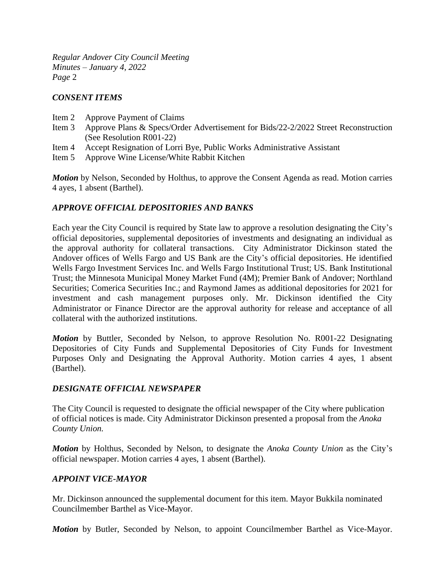### *CONSENT ITEMS*

- Item 2 Approve Payment of Claims
- Item 3 Approve Plans & Specs/Order Advertisement for Bids/22-2/2022 Street Reconstruction (See Resolution R001-22)
- Item 4 Accept Resignation of Lorri Bye, Public Works Administrative Assistant
- Item 5 Approve Wine License/White Rabbit Kitchen

*Motion* by Nelson, Seconded by Holthus, to approve the Consent Agenda as read. Motion carries 4 ayes, 1 absent (Barthel).

### *APPROVE OFFICIAL DEPOSITORIES AND BANKS*

Each year the City Council is required by State law to approve a resolution designating the City's official depositories, supplemental depositories of investments and designating an individual as the approval authority for collateral transactions. City Administrator Dickinson stated the Andover offices of Wells Fargo and US Bank are the City's official depositories. He identified Wells Fargo Investment Services Inc. and Wells Fargo Institutional Trust; US. Bank Institutional Trust; the Minnesota Municipal Money Market Fund (4M); Premier Bank of Andover; Northland Securities; Comerica Securities Inc.; and Raymond James as additional depositories for 2021 for investment and cash management purposes only. Mr. Dickinson identified the City Administrator or Finance Director are the approval authority for release and acceptance of all collateral with the authorized institutions.

*Motion* by Buttler, Seconded by Nelson, to approve Resolution No. R001-22 Designating Depositories of City Funds and Supplemental Depositories of City Funds for Investment Purposes Only and Designating the Approval Authority. Motion carries 4 ayes, 1 absent (Barthel).

### *DESIGNATE OFFICIAL NEWSPAPER*

The City Council is requested to designate the official newspaper of the City where publication of official notices is made. City Administrator Dickinson presented a proposal from the *Anoka County Union.* 

*Motion* by Holthus, Seconded by Nelson, to designate the *Anoka County Union* as the City's official newspaper. Motion carries 4 ayes, 1 absent (Barthel).

### *APPOINT VICE-MAYOR*

Mr. Dickinson announced the supplemental document for this item. Mayor Bukkila nominated Councilmember Barthel as Vice-Mayor.

*Motion* by Butler, Seconded by Nelson, to appoint Councilmember Barthel as Vice-Mayor.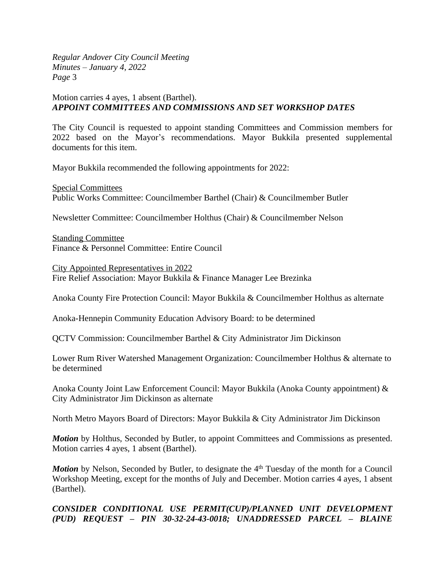### Motion carries 4 ayes, 1 absent (Barthel). *APPOINT COMMITTEES AND COMMISSIONS AND SET WORKSHOP DATES*

The City Council is requested to appoint standing Committees and Commission members for 2022 based on the Mayor's recommendations. Mayor Bukkila presented supplemental documents for this item.

Mayor Bukkila recommended the following appointments for 2022:

Special Committees Public Works Committee: Councilmember Barthel (Chair) & Councilmember Butler

Newsletter Committee: Councilmember Holthus (Chair) & Councilmember Nelson

Standing Committee Finance & Personnel Committee: Entire Council

City Appointed Representatives in 2022 Fire Relief Association: Mayor Bukkila & Finance Manager Lee Brezinka

Anoka County Fire Protection Council: Mayor Bukkila & Councilmember Holthus as alternate

Anoka-Hennepin Community Education Advisory Board: to be determined

QCTV Commission: Councilmember Barthel & City Administrator Jim Dickinson

Lower Rum River Watershed Management Organization: Councilmember Holthus & alternate to be determined

Anoka County Joint Law Enforcement Council: Mayor Bukkila (Anoka County appointment) & City Administrator Jim Dickinson as alternate

North Metro Mayors Board of Directors: Mayor Bukkila & City Administrator Jim Dickinson

*Motion* by Holthus, Seconded by Butler, to appoint Committees and Commissions as presented. Motion carries 4 ayes, 1 absent (Barthel).

Motion by Nelson, Seconded by Butler, to designate the 4<sup>th</sup> Tuesday of the month for a Council Workshop Meeting, except for the months of July and December. Motion carries 4 ayes, 1 absent (Barthel).

## *CONSIDER CONDITIONAL USE PERMIT(CUP)/PLANNED UNIT DEVELOPMENT (PUD) REQUEST – PIN 30-32-24-43-0018; UNADDRESSED PARCEL – BLAINE*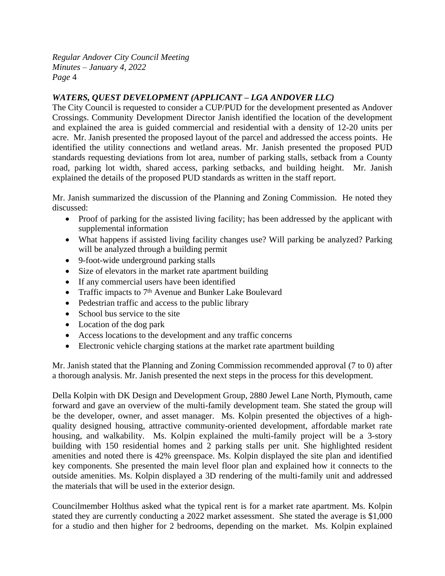# *WATERS, QUEST DEVELOPMENT (APPLICANT – LGA ANDOVER LLC)*

The City Council is requested to consider a CUP/PUD for the development presented as Andover Crossings. Community Development Director Janish identified the location of the development and explained the area is guided commercial and residential with a density of 12-20 units per acre. Mr. Janish presented the proposed layout of the parcel and addressed the access points. He identified the utility connections and wetland areas. Mr. Janish presented the proposed PUD standards requesting deviations from lot area, number of parking stalls, setback from a County road, parking lot width, shared access, parking setbacks, and building height. Mr. Janish explained the details of the proposed PUD standards as written in the staff report.

Mr. Janish summarized the discussion of the Planning and Zoning Commission. He noted they discussed:

- Proof of parking for the assisted living facility; has been addressed by the applicant with supplemental information
- What happens if assisted living facility changes use? Will parking be analyzed? Parking will be analyzed through a building permit
- 9-foot-wide underground parking stalls
- Size of elevators in the market rate apartment building
- If any commercial users have been identified
- Traffic impacts to  $7<sup>th</sup>$  Avenue and Bunker Lake Boulevard
- Pedestrian traffic and access to the public library
- School bus service to the site
- Location of the dog park
- Access locations to the development and any traffic concerns
- Electronic vehicle charging stations at the market rate apartment building

Mr. Janish stated that the Planning and Zoning Commission recommended approval (7 to 0) after a thorough analysis. Mr. Janish presented the next steps in the process for this development.

Della Kolpin with DK Design and Development Group, 2880 Jewel Lane North, Plymouth, came forward and gave an overview of the multi-family development team. She stated the group will be the developer, owner, and asset manager. Ms. Kolpin presented the objectives of a highquality designed housing, attractive community-oriented development, affordable market rate housing, and walkability. Ms. Kolpin explained the multi-family project will be a 3-story building with 150 residential homes and 2 parking stalls per unit. She highlighted resident amenities and noted there is 42% greenspace. Ms. Kolpin displayed the site plan and identified key components. She presented the main level floor plan and explained how it connects to the outside amenities. Ms. Kolpin displayed a 3D rendering of the multi-family unit and addressed the materials that will be used in the exterior design.

Councilmember Holthus asked what the typical rent is for a market rate apartment. Ms. Kolpin stated they are currently conducting a 2022 market assessment. She stated the average is \$1,000 for a studio and then higher for 2 bedrooms, depending on the market. Ms. Kolpin explained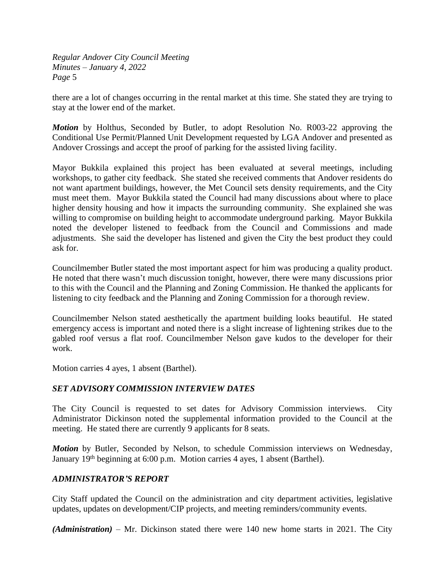there are a lot of changes occurring in the rental market at this time. She stated they are trying to stay at the lower end of the market.

*Motion* by Holthus, Seconded by Butler, to adopt Resolution No. R003-22 approving the Conditional Use Permit/Planned Unit Development requested by LGA Andover and presented as Andover Crossings and accept the proof of parking for the assisted living facility.

Mayor Bukkila explained this project has been evaluated at several meetings, including workshops, to gather city feedback. She stated she received comments that Andover residents do not want apartment buildings, however, the Met Council sets density requirements, and the City must meet them. Mayor Bukkila stated the Council had many discussions about where to place higher density housing and how it impacts the surrounding community. She explained she was willing to compromise on building height to accommodate underground parking. Mayor Bukkila noted the developer listened to feedback from the Council and Commissions and made adjustments. She said the developer has listened and given the City the best product they could ask for.

Councilmember Butler stated the most important aspect for him was producing a quality product. He noted that there wasn't much discussion tonight, however, there were many discussions prior to this with the Council and the Planning and Zoning Commission. He thanked the applicants for listening to city feedback and the Planning and Zoning Commission for a thorough review.

Councilmember Nelson stated aesthetically the apartment building looks beautiful. He stated emergency access is important and noted there is a slight increase of lightening strikes due to the gabled roof versus a flat roof. Councilmember Nelson gave kudos to the developer for their work.

Motion carries 4 ayes, 1 absent (Barthel).

### *SET ADVISORY COMMISSION INTERVIEW DATES*

The City Council is requested to set dates for Advisory Commission interviews. City Administrator Dickinson noted the supplemental information provided to the Council at the meeting. He stated there are currently 9 applicants for 8 seats.

*Motion* by Butler, Seconded by Nelson, to schedule Commission interviews on Wednesday, January 19th beginning at 6:00 p.m. Motion carries 4 ayes, 1 absent (Barthel).

### *ADMINISTRATOR'S REPORT*

City Staff updated the Council on the administration and city department activities, legislative updates, updates on development/CIP projects, and meeting reminders/community events.

*(Administration)* – Mr. Dickinson stated there were 140 new home starts in 2021. The City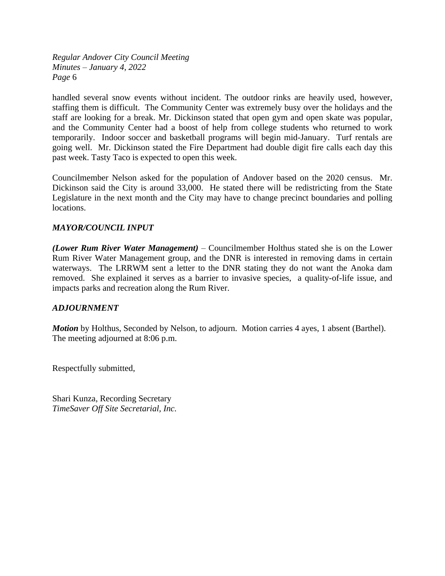handled several snow events without incident. The outdoor rinks are heavily used, however, staffing them is difficult. The Community Center was extremely busy over the holidays and the staff are looking for a break. Mr. Dickinson stated that open gym and open skate was popular, and the Community Center had a boost of help from college students who returned to work temporarily. Indoor soccer and basketball programs will begin mid-January. Turf rentals are going well. Mr. Dickinson stated the Fire Department had double digit fire calls each day this past week. Tasty Taco is expected to open this week.

Councilmember Nelson asked for the population of Andover based on the 2020 census. Mr. Dickinson said the City is around 33,000. He stated there will be redistricting from the State Legislature in the next month and the City may have to change precinct boundaries and polling locations.

### *MAYOR/COUNCIL INPUT*

*(Lower Rum River Water Management)* – Councilmember Holthus stated she is on the Lower Rum River Water Management group, and the DNR is interested in removing dams in certain waterways. The LRRWM sent a letter to the DNR stating they do not want the Anoka dam removed. She explained it serves as a barrier to invasive species, a quality-of-life issue, and impacts parks and recreation along the Rum River.

### *ADJOURNMENT*

*Motion* by Holthus, Seconded by Nelson, to adjourn. Motion carries 4 ayes, 1 absent (Barthel). The meeting adjourned at 8:06 p.m.

Respectfully submitted,

Shari Kunza, Recording Secretary *TimeSaver Off Site Secretarial, Inc.*